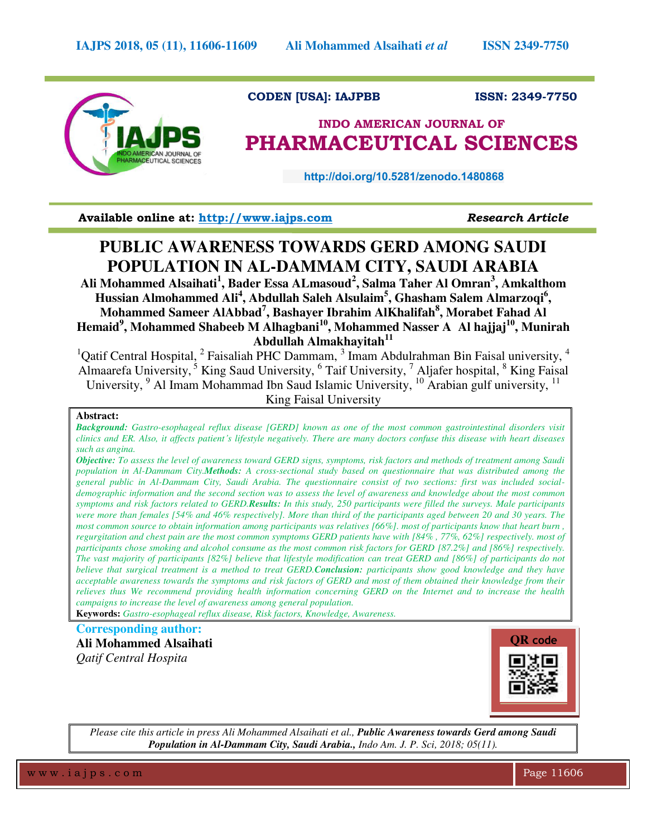

# **CODEN [USA]: IAJPBB ISSN: 2349-7750**

# **INDO AMERICAN JOURNAL OF PHARMACEUTICAL SCIENCES**

 **http://doi.org/10.5281/zenodo.1480868** 

**Available online at: [http://www.iajps.com](http://www.iajps.com/)** *Research Article*

# **PUBLIC AWARENESS TOWARDS GERD AMONG SAUDI POPULATION IN AL-DAMMAM CITY, SAUDI ARABIA**

**Ali Mohammed Alsaihati<sup>1</sup> , Bader Essa ALmasoud<sup>2</sup> , Salma Taher Al Omran<sup>3</sup> , Amkalthom Hussian Almohammed Ali<sup>4</sup> , Abdullah Saleh Alsulaim<sup>5</sup> , Ghasham Salem Almarzoqi<sup>6</sup> , Mohammed Sameer AlAbbad<sup>7</sup> , Bashayer Ibrahim AlKhalifah<sup>8</sup> , Morabet Fahad Al Hemaid<sup>9</sup> , Mohammed Shabeeb M Alhagbani<sup>10</sup>, Mohammed Nasser A Al hajjaj<sup>10</sup>, Munirah Abdullah Almakhayitah<sup>11</sup>**

<sup>1</sup>Qatif Central Hospital,  $2$  Faisaliah PHC Dammam,  $3$  Imam Abdulrahman Bin Faisal university,  $4$ Almaarefa University,<sup>5</sup> King Saud University, <sup>6</sup> Taif University, <sup>7</sup> Aljafer hospital, <sup>8</sup> King Faisal University, <sup>9</sup> Al Imam Mohammad Ibn Saud Islamic University, <sup>10</sup> Arabian gulf university, <sup>11</sup> King Faisal University

## **Abstract:**

*Background: Gastro-esophageal reflux disease [GERD] known as one of the most common gastrointestinal disorders visit clinics and ER. Also, it affects patient's lifestyle negatively. There are many doctors confuse this disease with heart diseases such as angina.* 

*Objective: To assess the level of awareness toward GERD signs, symptoms, risk factors and methods of treatment among Saudi population in Al-Dammam City.Methods: A cross-sectional study based on questionnaire that was distributed among the general public in Al-Dammam City, Saudi Arabia. The questionnaire consist of two sections: first was included socialdemographic information and the second section was to assess the level of awareness and knowledge about the most common symptoms and risk factors related to GERD.Results: In this study, 250 participants were filled the surveys. Male participants were more than females [54% and 46% respectively]. More than third of the participants aged between 20 and 30 years. The most common source to obtain information among participants was relatives [66%]. most of participants know that heart burn, regurgitation and chest pain are the most common symptoms GERD patients have with [84% , 77%, 62%] respectively. most of participants chose smoking and alcohol consume as the most common risk factors for GERD [87.2%] and [86%] respectively. The vast majority of participants [82%] believe that lifestyle modification can treat GERD and [86%] of participants do not believe that surgical treatment is a method to treat GERD.Conclusion: participants show good knowledge and they have acceptable awareness towards the symptoms and risk factors of GERD and most of them obtained their knowledge from their relieves thus We recommend providing health information concerning GERD on the Internet and to increase the health campaigns to increase the level of awareness among general population.* 

**Keywords:** *Gastro-esophageal reflux disease, Risk factors, Knowledge, Awareness.* 

**Corresponding author: Ali Mohammed Alsaihati** *Qatif Central Hospita* 



*Please cite this article in press Ali Mohammed Alsaihati et al., Public Awareness towards Gerd among Saudi Population in Al-Dammam City, Saudi Arabia., Indo Am. J. P. Sci, 2018; 05(11).*

w w w . i a j p s . c o m Page 11606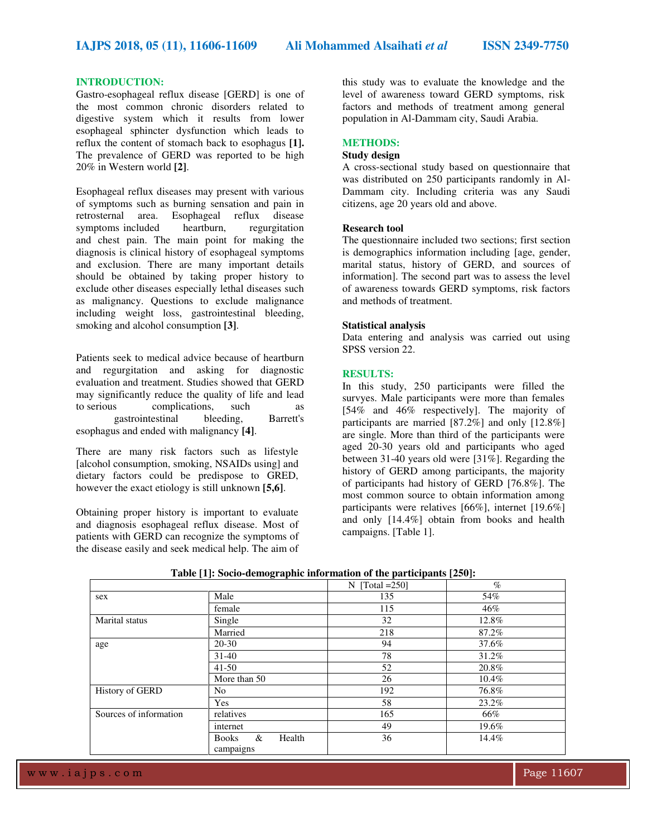### **INTRODUCTION:**

Gastro-esophageal reflux disease [GERD] is one of the most common chronic disorders related to digestive system which it results from lower esophageal sphincter dysfunction which leads to reflux the content of stomach back to esophagus **[1].** The prevalence of GERD was reported to be high 20% in Western world **[2]**.

Esophageal reflux diseases may present with various of symptoms such as burning sensation and pain in retrosternal area. Esophageal reflux disease symptoms included heartburn, regurgitation and chest pain. The main point for making the diagnosis is clinical history of esophageal symptoms and exclusion. There are many important details should be obtained by taking proper history to exclude other diseases especially lethal diseases such as malignancy. Questions to exclude malignance including weight loss, gastrointestinal bleeding, smoking and alcohol consumption **[3]**.

Patients seek to medical advice because of heartburn and regurgitation and asking for diagnostic evaluation and treatment. Studies showed that GERD may significantly reduce the quality of life and lead<br>to serious complications. such as complications, such as gastrointestinal bleeding, Barrett's esophagus and ended with malignancy **[4]**.

There are many risk factors such as lifestyle [alcohol consumption, smoking, NSAIDs using] and dietary factors could be predispose to GRED, however the exact etiology is still unknown **[5,6]**.

Obtaining proper history is important to evaluate and diagnosis esophageal reflux disease. Most of patients with GERD can recognize the symptoms of the disease easily and seek medical help. The aim of

this study was to evaluate the knowledge and the level of awareness toward GERD symptoms, risk factors and methods of treatment among general population in Al-Dammam city, Saudi Arabia.

# **METHODS:**

## **Study design**

A cross-sectional study based on questionnaire that was distributed on 250 participants randomly in Al-Dammam city. Including criteria was any Saudi citizens, age 20 years old and above.

#### **Research tool**

The questionnaire included two sections; first section is demographics information including [age, gender, marital status, history of GERD, and sources of information]. The second part was to assess the level of awareness towards GERD symptoms, risk factors and methods of treatment.

#### **Statistical analysis**

Data entering and analysis was carried out using SPSS version 22.

## **RESULTS:**

In this study, 250 participants were filled the survyes. Male participants were more than females [54% and 46% respectively]. The majority of participants are married [87.2%] and only [12.8%] are single. More than third of the participants were aged 20-30 years old and participants who aged between 31-40 years old were [31%]. Regarding the history of GERD among participants, the majority of participants had history of GERD [76.8%]. The most common source to obtain information among participants were relatives [66%], internet [19.6%] and only [14.4%] obtain from books and health campaigns. [Table 1].

|                        |                                          | N $[Total = 250]$ | $\%$  |
|------------------------|------------------------------------------|-------------------|-------|
| sex                    | Male                                     | 135               | 54%   |
|                        | female                                   | 115               | 46%   |
| Marital status         | Single                                   | 32                | 12.8% |
|                        | Married                                  | 218               | 87.2% |
| age                    | 20-30                                    | 94                | 37.6% |
|                        | $31-40$                                  | 78                | 31.2% |
|                        | $41 - 50$                                | 52                | 20.8% |
|                        | More than 50                             | 26                | 10.4% |
| History of GERD        | No                                       | 192               | 76.8% |
|                        | Yes                                      | 58                | 23.2% |
| Sources of information | relatives                                | 165               | 66%   |
|                        | internet                                 | 49                | 19.6% |
|                        | &<br>Health<br><b>Books</b><br>campaigns | 36                | 14.4% |

**Table [1]: Socio-demographic information of the participants [250]:**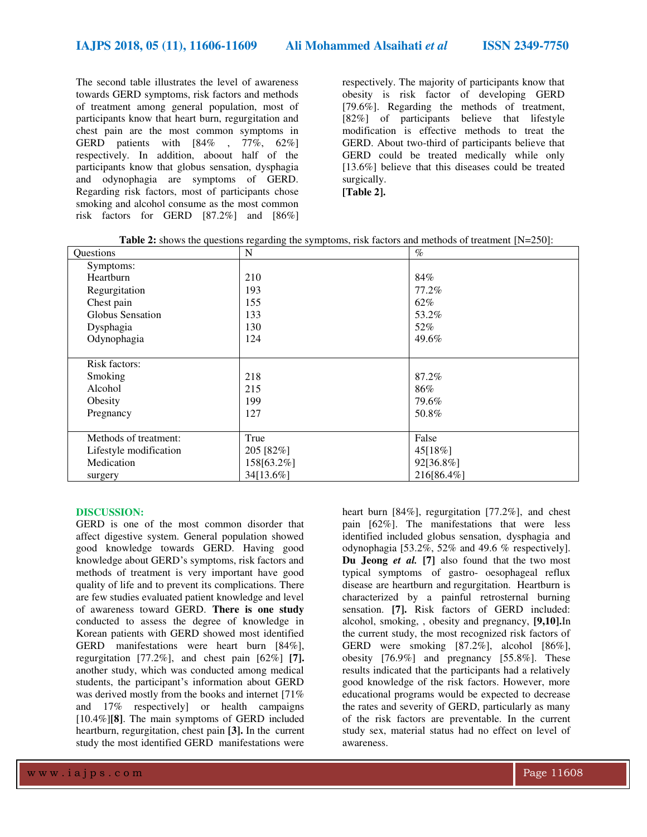The second table illustrates the level of awareness towards GERD symptoms, risk factors and methods of treatment among general population, most of participants know that heart burn, regurgitation and chest pain are the most common symptoms in GERD patients with [84% , 77%, 62%] respectively. In addition, aboout half of the participants know that globus sensation, dysphagia and odynophagia are symptoms of GERD. Regarding risk factors, most of participants chose smoking and alcohol consume as the most common risk factors for GERD [87.2%] and [86%]

respectively. The majority of participants know that obesity is risk factor of developing GERD [79.6%]. Regarding the methods of treatment, [82%] of participants believe that lifestyle modification is effective methods to treat the GERD. About two-third of participants believe that GERD could be treated medically while only [13.6%] believe that this diseases could be treated surgically. **[Table 2].** 

| Questions              | N          | $\%$       |
|------------------------|------------|------------|
| Symptoms:              |            |            |
| Heartburn              | 210        | 84%        |
| Regurgitation          | 193        | 77.2%      |
| Chest pain             | 155        | 62%        |
| Globus Sensation       | 133        | 53.2%      |
| Dysphagia              | 130        | 52%        |
| Odynophagia            | 124        | 49.6%      |
|                        |            |            |
| Risk factors:          |            |            |
| Smoking                | 218        | 87.2%      |
| Alcohol                | 215        | 86%        |
| Obesity                | 199        | 79.6%      |
| Pregnancy              | 127        | 50.8%      |
|                        |            |            |
| Methods of treatment:  | True       | False      |
| Lifestyle modification | 205 [82%]  | 45[18%]    |
| Medication             | 158[63.2%] | 92[36.8%]  |
| surgery                | 34[13.6%]  | 216[86.4%] |

# **Table 2:** shows the questions regarding the symptoms, risk factors and methods of treatment [N=250]:

### **DISCUSSION:**

GERD is one of the most common disorder that affect digestive system. General population showed good knowledge towards GERD. Having good knowledge about GERD's symptoms, risk factors and methods of treatment is very important have good quality of life and to prevent its complications. There are few studies evaluated patient knowledge and level of awareness toward GERD. **There is one study**  conducted to assess the degree of knowledge in Korean patients with GERD showed most identified GERD manifestations were heart burn [84%], regurgitation [77.2%], and chest pain [62%] **[7].**  another study, which was conducted among medical students, the participant's information about GERD was derived mostly from the books and internet [71%] and 17% respectively] or health campaigns [10.4%]**[8]**. The main symptoms of GERD included heartburn, regurgitation, chest pain **[3].** In the current study the most identified GERD manifestations were

heart burn [84%], regurgitation [77.2%], and chest pain [62%]. The manifestations that were less identified included globus sensation, dysphagia and odynophagia [53.2%, 52% and 49.6 % respectively]. **Du Jeong** *et al.* **[7]** also found that the two most typical symptoms of gastro- oesophageal reflux disease are heartburn and regurgitation. Heartburn is characterized by a painful retrosternal burning sensation. **[7].** Risk factors of GERD included: alcohol, smoking, , obesity and pregnancy, **[9,10].**In the current study, the most recognized risk factors of GERD were smoking [87.2%], alcohol [86%], obesity [76.9%] and pregnancy [55.8%]. These results indicated that the participants had a relatively good knowledge of the risk factors. However, more educational programs would be expected to decrease the rates and severity of GERD, particularly as many of the risk factors are preventable. In the current study sex, material status had no effect on level of awareness.